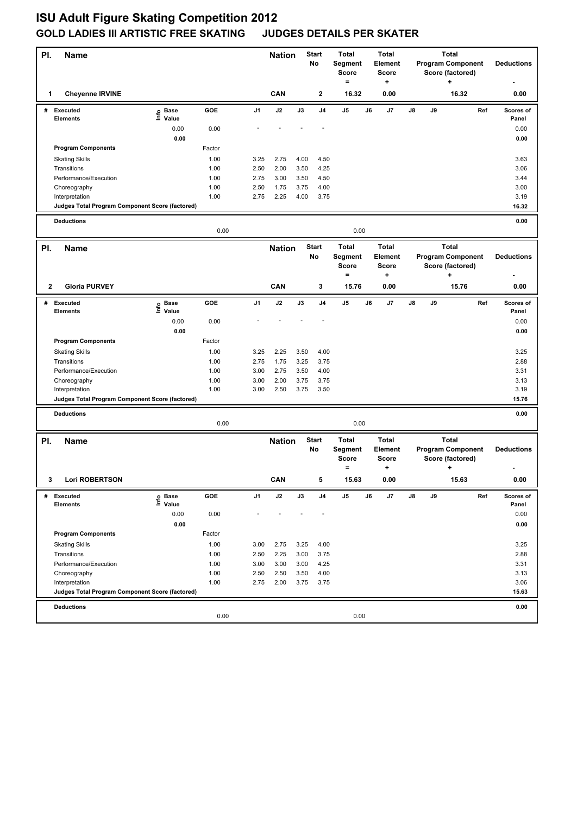## **ISU Adult Figure Skating Competition 2012 GOLD LADIES III ARTISTIC FREE SKATING JUDGES DETAILS PER SKATER**

| PI.          | Name                                            |                                  |              |                | <b>Nation</b>                 | Start<br>No   |                | <b>Total</b><br>Segment<br>Score<br>$=$ |    | <b>Total</b><br>Element<br><b>Score</b><br>+ |                                                                           | <b>Program Component</b><br>Score (factored) | <b>Deductions</b>                                         |     |                    |
|--------------|-------------------------------------------------|----------------------------------|--------------|----------------|-------------------------------|---------------|----------------|-----------------------------------------|----|----------------------------------------------|---------------------------------------------------------------------------|----------------------------------------------|-----------------------------------------------------------|-----|--------------------|
| 1            | <b>Cheyenne IRVINE</b>                          |                                  |              |                | CAN                           |               | 2              | 16.32                                   |    | 0.00                                         |                                                                           |                                              | 16.32                                                     |     | 0.00               |
| #            | <b>Executed</b><br><b>Elements</b>              | <b>Base</b><br>e Base<br>⊑ Value | GOE          | J1             | J2                            | J3            | J <sub>4</sub> | J5                                      | J6 | J7                                           | J8                                                                        | J9                                           |                                                           | Ref | Scores of<br>Panel |
|              |                                                 | 0.00                             | 0.00         |                |                               |               |                |                                         |    |                                              |                                                                           |                                              |                                                           |     | 0.00               |
|              |                                                 | 0.00                             |              |                |                               |               |                |                                         |    |                                              |                                                                           |                                              |                                                           |     | 0.00               |
|              | <b>Program Components</b>                       |                                  | Factor       |                |                               |               |                |                                         |    |                                              |                                                                           |                                              |                                                           |     |                    |
|              | <b>Skating Skills</b>                           |                                  | 1.00         | 3.25           | 2.75                          | 4.00          | 4.50           |                                         |    |                                              |                                                                           |                                              |                                                           |     | 3.63               |
|              | Transitions                                     |                                  | 1.00         | 2.50           | 2.00                          | 3.50          | 4.25           |                                         |    |                                              |                                                                           |                                              |                                                           |     | 3.06               |
|              | Performance/Execution                           |                                  | 1.00         | 2.75           | 3.00                          | 3.50          | 4.50           |                                         |    |                                              |                                                                           |                                              |                                                           |     | 3.44               |
|              | Choreography<br>Interpretation                  |                                  | 1.00<br>1.00 | 2.50<br>2.75   | 1.75<br>2.25                  | 3.75<br>4.00  | 4.00<br>3.75   |                                         |    |                                              |                                                                           |                                              |                                                           |     | 3.00<br>3.19       |
|              | Judges Total Program Component Score (factored) |                                  |              |                |                               |               |                |                                         |    |                                              |                                                                           |                                              |                                                           |     | 16.32              |
|              |                                                 |                                  |              |                |                               |               |                |                                         |    |                                              |                                                                           |                                              |                                                           |     |                    |
|              | <b>Deductions</b>                               | 0.00<br>0.00                     |              |                |                               |               |                |                                         |    |                                              |                                                                           | 0.00                                         |                                                           |     |                    |
| PI.          | <b>Name</b>                                     |                                  |              |                | <b>Start</b><br><b>Nation</b> |               |                | <b>Total</b><br><b>Total</b>            |    |                                              |                                                                           |                                              |                                                           |     |                    |
|              |                                                 |                                  |              |                |                               | No            |                | Segment<br><b>Score</b><br>$=$          |    | <b>Element</b><br><b>Score</b><br>+          | <b>Total</b><br><b>Program Component</b><br>Score (factored)<br>$\ddot{}$ |                                              |                                                           |     | <b>Deductions</b>  |
| $\mathbf{2}$ | <b>Gloria PURVEY</b>                            |                                  |              |                | CAN                           |               | 3              | 15.76                                   |    | 0.00                                         |                                                                           |                                              | 15.76                                                     |     | 0.00               |
|              | # Executed<br>Elements                          | Base<br>١nfo<br>Value            | GOE          | J <sub>1</sub> | J2                            | J3            | J <sub>4</sub> | J5                                      | J6 | J7                                           | J8                                                                        | J9                                           |                                                           | Ref | Scores of<br>Panel |
|              |                                                 | 0.00                             | 0.00         |                |                               |               |                |                                         |    |                                              |                                                                           |                                              |                                                           |     | 0.00               |
|              |                                                 | 0.00                             |              |                |                               |               |                |                                         |    |                                              |                                                                           |                                              |                                                           |     | 0.00               |
|              | <b>Program Components</b>                       |                                  | Factor       |                |                               |               |                |                                         |    |                                              |                                                                           |                                              |                                                           |     |                    |
|              | <b>Skating Skills</b>                           |                                  | 1.00         | 3.25           | 2.25                          | 3.50          | 4.00           |                                         |    |                                              |                                                                           |                                              |                                                           |     | 3.25               |
|              | Transitions                                     |                                  | 1.00         | 2.75           | 1.75                          | 3.25          | 3.75           |                                         |    |                                              |                                                                           |                                              |                                                           |     | 2.88               |
|              | Performance/Execution                           |                                  | 1.00         | 3.00           | 2.75                          | 3.50          | 4.00           |                                         |    |                                              |                                                                           |                                              |                                                           |     | 3.31               |
|              | Choreography<br>Interpretation                  |                                  | 1.00<br>1.00 | 3.00<br>3.00   | 2.00<br>2.50                  | 3.75<br>3.75  | 3.75<br>3.50   |                                         |    |                                              |                                                                           |                                              |                                                           |     | 3.13<br>3.19       |
|              | Judges Total Program Component Score (factored) |                                  |              |                |                               |               |                |                                         |    |                                              |                                                                           |                                              |                                                           |     | 15.76              |
|              |                                                 |                                  |              |                |                               |               |                |                                         |    |                                              |                                                                           |                                              |                                                           |     |                    |
|              | <b>Deductions</b>                               |                                  | 0.00         |                |                               |               |                | 0.00                                    |    |                                              |                                                                           |                                              |                                                           |     | 0.00               |
| PI.          | Name                                            |                                  |              |                | <b>Start</b><br><b>Nation</b> |               |                | <b>Total</b><br><b>Total</b>            |    |                                              | <b>Total</b>                                                              |                                              |                                                           |     |                    |
|              |                                                 |                                  |              |                |                               | No            |                | Segment<br><b>Score</b><br>$=$          |    | <b>Element</b><br><b>Score</b><br>٠          |                                                                           |                                              | <b>Program Component</b><br>Score (factored)<br>$\ddot{}$ |     | <b>Deductions</b>  |
|              | 3 Lori ROBERTSON                                |                                  |              |                | CAN                           |               |                | 15.63                                   |    | 0.00                                         |                                                                           |                                              | 15.63                                                     |     | 0.00               |
| #            | <b>Executed</b>                                 | e Base<br>⊑ Value                | GOE          | J1             | $\mathsf{J2}$                 | $\mathsf{J3}$ | J4             | J5                                      | J6 | J7                                           | J8                                                                        | J9                                           |                                                           | Ref | Scores of          |
|              | Elements                                        |                                  |              |                |                               |               |                |                                         |    |                                              |                                                                           |                                              |                                                           |     | Panel              |
|              |                                                 | 0.00<br>0.00                     | 0.00         |                |                               |               |                |                                         |    |                                              |                                                                           |                                              |                                                           |     | 0.00               |
|              | <b>Program Components</b>                       |                                  | Factor       |                |                               |               |                |                                         |    |                                              |                                                                           |                                              |                                                           |     | 0.00               |
|              | <b>Skating Skills</b>                           |                                  | 1.00         | 3.00           | 2.75                          | 3.25          | 4.00           |                                         |    |                                              |                                                                           |                                              |                                                           |     | 3.25               |
|              | Transitions                                     |                                  | 1.00         | 2.50           | 2.25                          | 3.00          | 3.75           |                                         |    |                                              |                                                                           |                                              |                                                           |     | 2.88               |
|              | Performance/Execution                           |                                  | 1.00         | 3.00           | 3.00                          | 3.00          | 4.25           |                                         |    |                                              |                                                                           |                                              |                                                           |     | 3.31               |
|              | Choreography                                    |                                  | 1.00         | 2.50           | 2.50                          | 3.50          | 4.00           |                                         |    |                                              |                                                                           |                                              |                                                           |     | 3.13               |
|              | Interpretation                                  |                                  | 1.00         | 2.75           | 2.00                          | 3.75          | 3.75           |                                         |    |                                              |                                                                           |                                              |                                                           |     | 3.06               |
|              | Judges Total Program Component Score (factored) |                                  |              |                |                               |               |                |                                         |    |                                              |                                                                           |                                              |                                                           |     | 15.63              |
|              | <b>Deductions</b>                               |                                  |              |                |                               |               |                |                                         |    |                                              |                                                                           |                                              |                                                           |     | 0.00               |
|              |                                                 |                                  | 0.00         |                |                               |               |                | 0.00                                    |    |                                              |                                                                           |                                              |                                                           |     |                    |